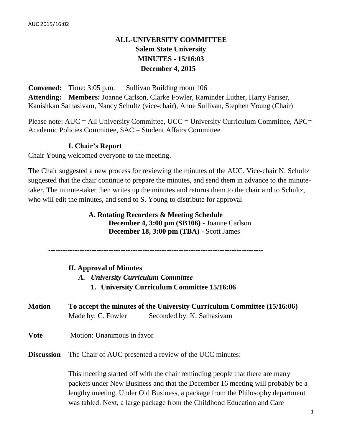## **ALL-UNIVERSITY COMMITTEE Salem State University MINUTES - 15/16:03 December 4, 2015**

**Convened:** Time: 3:05 p.m. Sullivan Building room 106 **Attending: Members:** Joanne Carlson, Clarke Fowler, Raminder Luther, Harry Pariser, Kanishkan Sathasivam, Nancy Schultz (vice-chair), Anne Sullivan, Stephen Young (Chair)

Please note:  $AUC = All University Committee$ ,  $UCC = University Curricular Committee$ ,  $APC =$ Academic Policies Committee, SAC = Student Affairs Committee

## **I. Chair's Report**

Chair Young welcomed everyone to the meeting.

The Chair suggested a new process for reviewing the minutes of the AUC. Vice-chair N. Schultz suggested that the chair continue to prepare the minutes, and send them in advance to the minutetaker. The minute-taker then writes up the minutes and returns them to the chair and to Schultz, who will edit the minutes, and send to S. Young to distribute for approval

## **A. Rotating Recorders & Meeting Schedule December 4, 3:00 pm (SB106) -** Joanne Carlson **December 18, 3:00 pm (TBA) -** Scott James

-----------------------------------------------------------------------------------------

## **II. Approval of Minutes**

- *A. University Curriculum Committee*
	- **1. University Curriculum Committee 15/16:06**
- **Motion To accept the minutes of the University Curriculum Committee (15/16:06)** Made by: C. Fowler Seconded by: K. Sathasivam
- **Vote** Motion: Unanimous in favor
- **Discussion** The Chair of AUC presented a review of the UCC minutes:

This meeting started off with the chair reminding people that there are many packets under New Business and that the December 16 meeting will probably be a lengthy meeting. Under Old Business, a package from the Philosophy department was tabled. Next, a large package from the Childhood Education and Care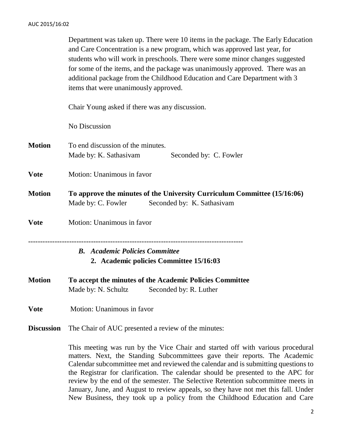Department was taken up. There were 10 items in the package. The Early Education and Care Concentration is a new program, which was approved last year, for students who will work in preschools. There were some minor changes suggested for some of the items, and the package was unanimously approved. There was an additional package from the Childhood Education and Care Department with 3 items that were unanimously approved.

Chair Young asked if there was any discussion.

No Discussion

**Motion** To end discussion of the minutes. Made by: K. Sathasivam Seconded by: C. Fowler **Vote** Motion: Unanimous in favor **Motion To approve the minutes of the University Curriculum Committee (15/16:06)** Made by: C. Fowler Seconded by: K. Sathasivam **Vote** Motion: Unanimous in favor ----------------------------------------------------------------------------------------- *B. Academic Policies Committee* **2. Academic policies Committee 15/16:03**

**Motion To accept the minutes of the Academic Policies Committee**  Made by: N. Schultz Seconded by: R. Luther

**Vote** Motion: Unanimous in favor

**Discussion** The Chair of AUC presented a review of the minutes:

This meeting was run by the Vice Chair and started off with various procedural matters. Next, the Standing Subcommittees gave their reports. The Academic Calendar subcommittee met and reviewed the calendar and is submitting questions to the Registrar for clarification. The calendar should be presented to the APC for review by the end of the semester. The Selective Retention subcommittee meets in January, June, and August to review appeals, so they have not met this fall. Under New Business, they took up a policy from the Childhood Education and Care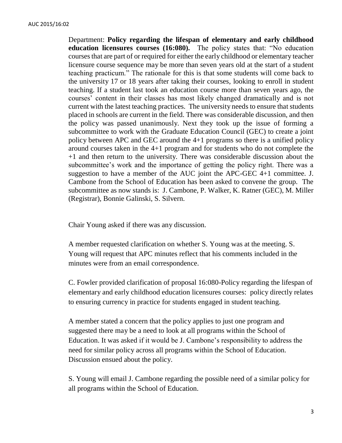Department: **Policy regarding the lifespan of elementary and early childhood education licensures courses (16:080).** The policy states that: "No education courses that are part of or required for either the early childhood or elementary teacher licensure course sequence may be more than seven years old at the start of a student teaching practicum." The rationale for this is that some students will come back to the university 17 or 18 years after taking their courses, looking to enroll in student teaching. If a student last took an education course more than seven years ago, the courses' content in their classes has most likely changed dramatically and is not current with the latest teaching practices. The university needs to ensure that students placed in schools are current in the field. There was considerable discussion, and then the policy was passed unanimously. Next they took up the issue of forming a subcommittee to work with the Graduate Education Council (GEC) to create a joint policy between APC and GEC around the 4+1 programs so there is a unified policy around courses taken in the 4+1 program and for students who do not complete the +1 and then return to the university. There was considerable discussion about the subcommittee's work and the importance of getting the policy right. There was a suggestion to have a member of the AUC joint the APC-GEC 4+1 committee. J. Cambone from the School of Education has been asked to convene the group. The subcommittee as now stands is: J. Cambone, P. Walker, K. Ratner (GEC), M. Miller (Registrar), Bonnie Galinski, S. Silvern.

Chair Young asked if there was any discussion.

A member requested clarification on whether S. Young was at the meeting. S. Young will request that APC minutes reflect that his comments included in the minutes were from an email correspondence.

C. Fowler provided clarification of proposal 16:080-Policy regarding the lifespan of elementary and early childhood education licensures courses: policy directly relates to ensuring currency in practice for students engaged in student teaching.

A member stated a concern that the policy applies to just one program and suggested there may be a need to look at all programs within the School of Education. It was asked if it would be J. Cambone's responsibility to address the need for similar policy across all programs within the School of Education. Discussion ensued about the policy.

S. Young will email J. Cambone regarding the possible need of a similar policy for all programs within the School of Education.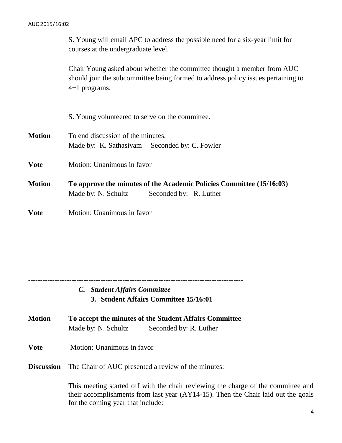S. Young will email APC to address the possible need for a six-year limit for courses at the undergraduate level.

Chair Young asked about whether the committee thought a member from AUC should join the subcommittee being formed to address policy issues pertaining to 4+1 programs.

|               | S. Young volunteered to serve on the committee.                                                                       |
|---------------|-----------------------------------------------------------------------------------------------------------------------|
| <b>Motion</b> | To end discussion of the minutes.<br>Made by: K. Sathasivam Seconded by: C. Fowler                                    |
| <b>Vote</b>   | Motion: Unanimous in favor                                                                                            |
| <b>Motion</b> | To approve the minutes of the Academic Policies Committee (15/16:03)<br>Made by: N. Schultz<br>Seconded by: R. Luther |
| <b>Vote</b>   | Motion: Unanimous in favor                                                                                            |

-----------------------------------------------------------------------------------------

*C. Student Affairs Committee* **3. Student Affairs Committee 15/16:01**

- 
- **Motion To accept the minutes of the Student Affairs Committee**  Made by: N. Schultz Seconded by: R. Luther
- **Vote** Motion: Unanimous in favor

**Discussion** The Chair of AUC presented a review of the minutes:

This meeting started off with the chair reviewing the charge of the committee and their accomplishments from last year (AY14-15). Then the Chair laid out the goals for the coming year that include: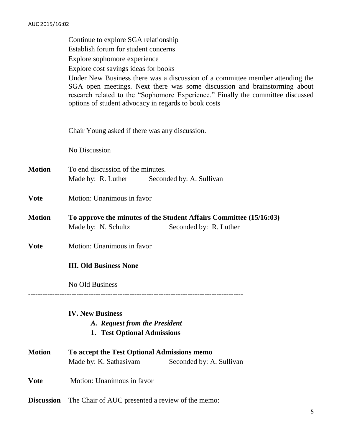Continue to explore SGA relationship Establish forum for student concerns Explore sophomore experience Explore cost savings ideas for books Under New Business there was a discussion of a committee member attending the SGA open meetings. Next there was some discussion and brainstorming about research related to the "Sophomore Experience." Finally the committee discussed options of student advocacy in regards to book costs Chair Young asked if there was any discussion. No Discussion **Motion** To end discussion of the minutes. Made by: R. Luther Seconded by: A. Sullivan **Vote** Motion: Unanimous in favor **Motion To approve the minutes of the Student Affairs Committee (15/16:03)** Made by: N. Schultz Seconded by: R. Luther **Vote** Motion: Unanimous in favor **III. Old Business None** No Old Business ----------------------------------------------------------------------------------------- **IV. New Business** *A. Request from the President* **1. Test Optional Admissions Motion To accept the Test Optional Admissions memo** Made by: K. Sathasivam Seconded by: A. Sullivan **Vote** Motion: Unanimous in favor

**Discussion** The Chair of AUC presented a review of the memo: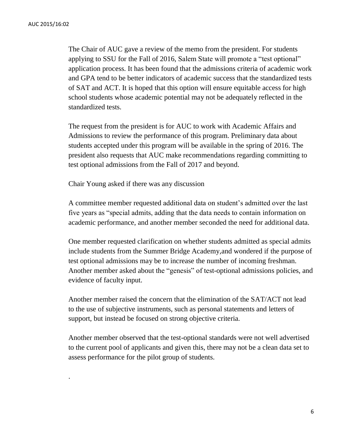.

The Chair of AUC gave a review of the memo from the president. For students applying to SSU for the Fall of 2016, Salem State will promote a "test optional" application process. It has been found that the admissions criteria of academic work and GPA tend to be better indicators of academic success that the standardized tests of SAT and ACT. It is hoped that this option will ensure equitable access for high school students whose academic potential may not be adequately reflected in the standardized tests.

The request from the president is for AUC to work with Academic Affairs and Admissions to review the performance of this program. Preliminary data about students accepted under this program will be available in the spring of 2016. The president also requests that AUC make recommendations regarding committing to test optional admissions from the Fall of 2017 and beyond.

Chair Young asked if there was any discussion

A committee member requested additional data on student's admitted over the last five years as "special admits, adding that the data needs to contain information on academic performance, and another member seconded the need for additional data.

One member requested clarification on whether students admitted as special admits include students from the Summer Bridge Academy,and wondered if the purpose of test optional admissions may be to increase the number of incoming freshman. Another member asked about the "genesis" of test-optional admissions policies, and evidence of faculty input.

Another member raised the concern that the elimination of the SAT/ACT not lead to the use of subjective instruments, such as personal statements and letters of support, but instead be focused on strong objective criteria.

Another member observed that the test-optional standards were not well advertised to the current pool of applicants and given this, there may not be a clean data set to assess performance for the pilot group of students.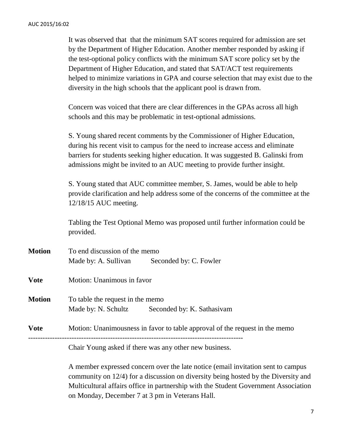It was observed that that the minimum SAT scores required for admission are set by the Department of Higher Education. Another member responded by asking if the test-optional policy conflicts with the minimum SAT score policy set by the Department of Higher Education, and stated that SAT/ACT test requirements helped to minimize variations in GPA and course selection that may exist due to the diversity in the high schools that the applicant pool is drawn from.

Concern was voiced that there are clear differences in the GPAs across all high schools and this may be problematic in test-optional admissions.

S. Young shared recent comments by the Commissioner of Higher Education, during his recent visit to campus for the need to increase access and eliminate barriers for students seeking higher education. It was suggested B. Galinski from admissions might be invited to an AUC meeting to provide further insight.

S. Young stated that AUC committee member, S. James, would be able to help provide clarification and help address some of the concerns of the committee at the 12/18/15 AUC meeting.

Tabling the Test Optional Memo was proposed until further information could be provided.

**Motion** To end discussion of the memo Made by: A. Sullivan Seconded by: C. Fowler **Vote** Motion: Unanimous in favor **Motion** To table the request in the memo Made by: N. Schultz Seconded by: K. Sathasivam **Vote** Motion: Unanimousness in favor to table approval of the request in the memo

Chair Young asked if there was any other new business.

A member expressed concern over the late notice (email invitation sent to campus community on 12/4) for a discussion on diversity being hosted by the Diversity and Multicultural affairs office in partnership with the Student Government Association on Monday, December 7 at 3 pm in Veterans Hall.